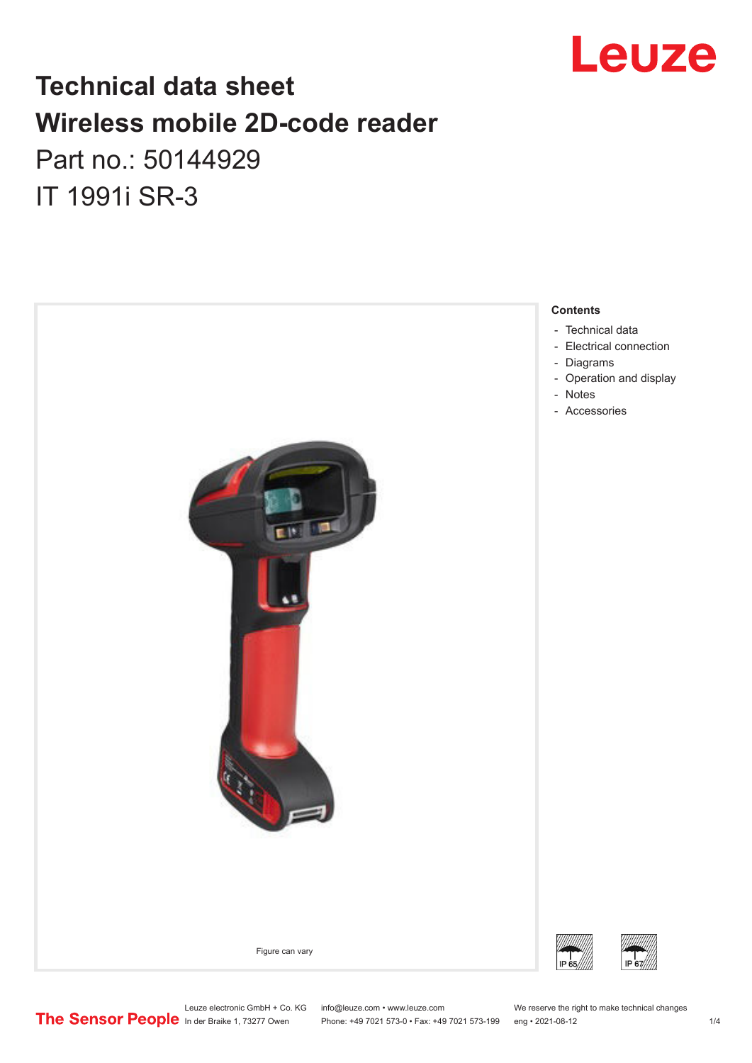

## **Technical data sheet Wireless mobile 2D-code reader**

Part no.: 50144929 IT 1991i SR-3



Leuze electronic GmbH + Co. KG info@leuze.com • www.leuze.com We reserve the right to make technical changes<br>
The Sensor People in der Braike 1, 73277 Owen Phone: +49 7021 573-0 • Fax: +49 7021 573-199 eng • 2021-08-12

Phone: +49 7021 573-0 • Fax: +49 7021 573-199 eng • 2021-08-12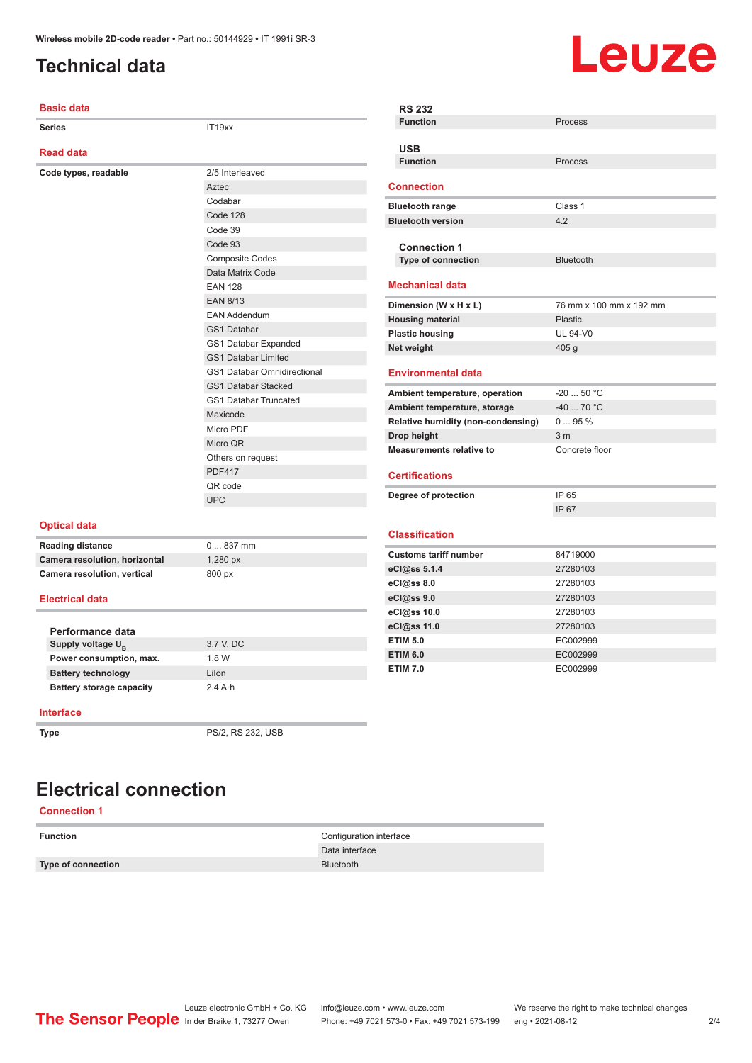## <span id="page-1-0"></span>**Technical data**

# Leuze

| <b>Basic data</b>             |                                    | <b>RS 232</b>                      |                         |
|-------------------------------|------------------------------------|------------------------------------|-------------------------|
| <b>Series</b>                 | IT19xx                             | <b>Function</b>                    | Process                 |
|                               |                                    |                                    |                         |
| <b>Read data</b>              |                                    | <b>USB</b>                         |                         |
|                               |                                    | <b>Function</b>                    | <b>Process</b>          |
| Code types, readable          | 2/5 Interleaved                    | <b>Connection</b>                  |                         |
|                               | Aztec                              |                                    |                         |
|                               | Codabar                            | <b>Bluetooth range</b>             | Class 1                 |
|                               | Code 128                           | <b>Bluetooth version</b>           | 4.2                     |
|                               | Code 39                            |                                    |                         |
|                               | Code 93                            | <b>Connection 1</b>                |                         |
|                               | <b>Composite Codes</b>             | Type of connection                 | <b>Bluetooth</b>        |
|                               | Data Matrix Code                   |                                    |                         |
|                               | <b>EAN 128</b>                     | <b>Mechanical data</b>             |                         |
|                               | <b>EAN 8/13</b>                    | Dimension (W x H x L)              | 76 mm x 100 mm x 192 mm |
|                               | <b>EAN Addendum</b>                | <b>Housing material</b>            | <b>Plastic</b>          |
|                               | GS1 Databar                        | <b>Plastic housing</b>             | <b>UL 94-V0</b>         |
|                               | GS1 Databar Expanded               | Net weight                         | 405 <sub>g</sub>        |
|                               | <b>GS1 Databar Limited</b>         |                                    |                         |
|                               | <b>GS1 Databar Omnidirectional</b> | <b>Environmental data</b>          |                         |
|                               | <b>GS1 Databar Stacked</b>         | Ambient temperature, operation     | $-2050 °C$              |
|                               | <b>GS1 Databar Truncated</b>       | Ambient temperature, storage       | $-40$ 70 °C             |
|                               | Maxicode                           | Relative humidity (non-condensing) | 095%                    |
|                               | Micro PDF                          | Drop height                        | 3 <sub>m</sub>          |
|                               | Micro QR                           | <b>Measurements relative to</b>    | Concrete floor          |
|                               | Others on request                  |                                    |                         |
|                               | <b>PDF417</b>                      | <b>Certifications</b>              |                         |
|                               | QR code                            |                                    |                         |
|                               | <b>UPC</b>                         | Degree of protection               | IP 65                   |
|                               |                                    |                                    | IP 67                   |
| <b>Optical data</b>           |                                    | <b>Classification</b>              |                         |
| <b>Reading distance</b>       | $0837$ mm                          |                                    |                         |
| Camera resolution, horizontal | 1,280 px                           | <b>Customs tariff number</b>       | 84719000                |
| Camera resolution, vertical   | 800 px                             | eCl@ss 5.1.4                       | 27280103                |
|                               |                                    | eCl@ss 8.0                         | 27280103                |
| <b>Electrical data</b>        |                                    | eCl@ss 9.0                         | 27280103                |
|                               |                                    | eCl@ss 10.0                        | 27280103                |
| Performance data              |                                    | eCl@ss 11.0                        | 27280103                |
| Supply voltage U <sub>B</sub> | 3.7 V, DC                          | <b>ETIM 5.0</b>                    | EC002999                |
| Power consumption, max.       | 1.8 W                              | <b>ETIM 6.0</b>                    | EC002999                |
| <b>Battery technology</b>     | Lilon                              | <b>ETIM 7.0</b>                    | EC002999                |
| Battery storage capacity      | $2.4A \cdot h$                     |                                    |                         |

#### **Interface**

**Type** PS/2, RS 232, USB

## **Electrical connection**

#### **Connection 1**

**Type of connection** Bluetooth

**Function** Configuration interface Data interface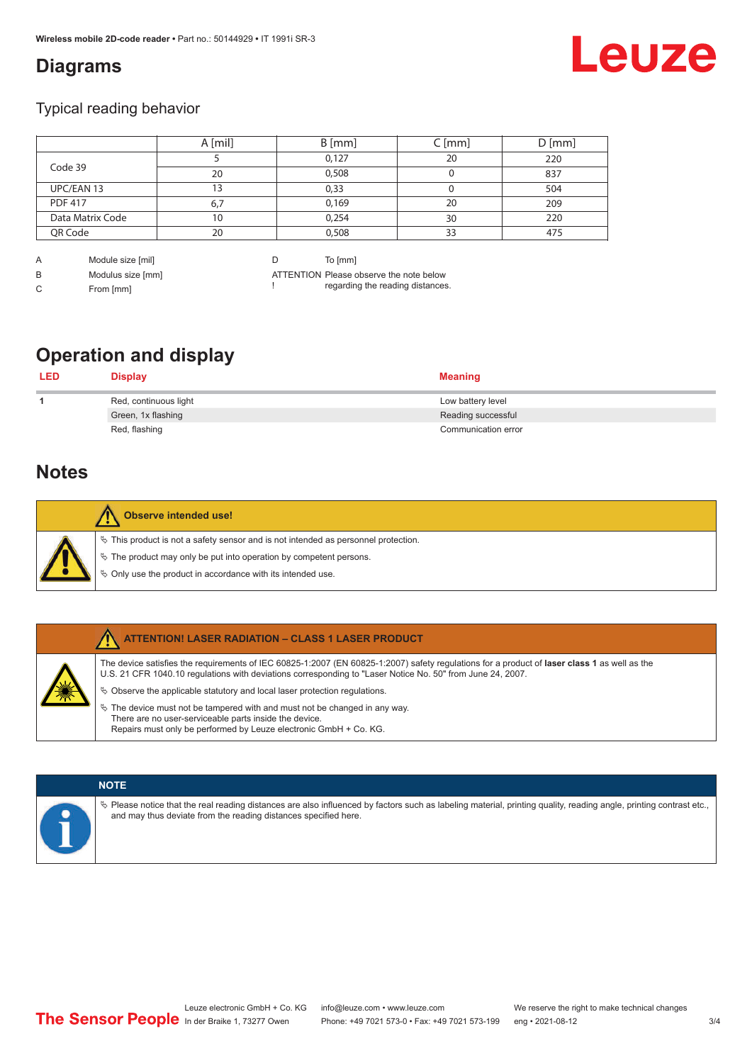## <span id="page-2-0"></span>**Diagrams**

# Leuze

### Typical reading behavior

|                  | A [mil] | $B$ [mm] | $C$ [mm] | $D$ [mm] |
|------------------|---------|----------|----------|----------|
|                  |         | 0,127    | 20       | 220      |
| Code 39          | 20      | 0,508    |          | 837      |
| UPC/EAN 13       | 3       | 0,33     |          | 504      |
| <b>PDF 417</b>   | 6,7     | 0,169    | 20       | 209      |
| Data Matrix Code | 10      | 0,254    | 30       | 220      |
| QR Code          | 20      | 0,508    | 33       | 475      |

A Module size [mil] B Modulus size [mm]

C From [mm]

D To [mm]

ATTENTION Please observe the note below ! regarding the reading distances.

## **Operation and display**

| <b>LED</b> | <b>Display</b>        | <b>Meaning</b>      |
|------------|-----------------------|---------------------|
|            | Red, continuous light | Low battery level   |
|            | Green, 1x flashing    | Reading successful  |
|            | Red, flashing         | Communication error |

## **Notes**

| Observe intended use!                                                                                                                                                                                                            |
|----------------------------------------------------------------------------------------------------------------------------------------------------------------------------------------------------------------------------------|
| $\%$ This product is not a safety sensor and is not intended as personnel protection.<br>$\&$ The product may only be put into operation by competent persons.<br>$\%$ Only use the product in accordance with its intended use. |

|  | <b>ATTENTION! LASER RADIATION - CLASS 1 LASER PRODUCT</b>                                                                                                                                                                                                  |
|--|------------------------------------------------------------------------------------------------------------------------------------------------------------------------------------------------------------------------------------------------------------|
|  | The device satisfies the requirements of IEC 60825-1:2007 (EN 60825-1:2007) safety regulations for a product of laser class 1 as well as the<br>U.S. 21 CFR 1040.10 regulations with deviations corresponding to "Laser Notice No. 50" from June 24, 2007. |
|  | $\&$ Observe the applicable statutory and local laser protection requisitions.                                                                                                                                                                             |
|  | $\%$ The device must not be tampered with and must not be changed in any way.                                                                                                                                                                              |
|  | There are no user-serviceable parts inside the device.                                                                                                                                                                                                     |
|  | Repairs must only be performed by Leuze electronic GmbH + Co. KG.                                                                                                                                                                                          |

### **NOTE**

ª Please notice that the real reading distances are also influenced by factors such as labeling material, printing quality, reading angle, printing contrast etc., and may thus deviate from the reading distances specified here.